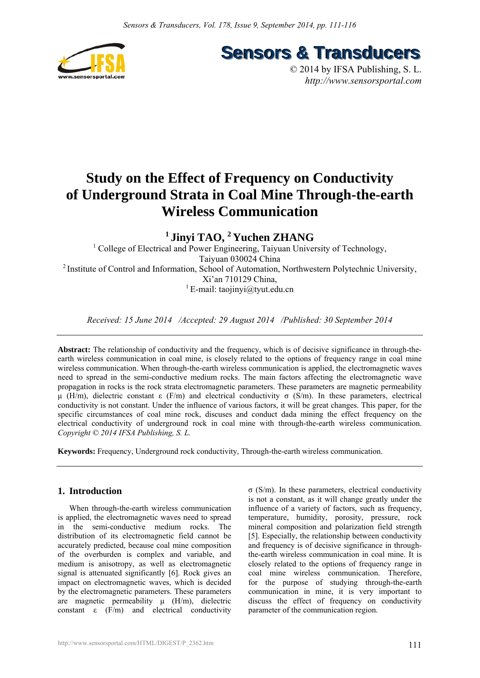

**Sensors & Transducers** 

© 2014 by IFSA Publishing, S. L. *http://www.sensorsportal.com*

# **Study on the Effect of Frequency on Conductivity of Underground Strata in Coal Mine Through-the-earth Wireless Communication**

# **1 Jinyi TAO, 2 Yuchen ZHANG**

<sup>1</sup> College of Electrical and Power Engineering, Taiyuan University of Technology, Taiyuan 030024 China <sup>2</sup> Institute of Control and Information, School of Automation, Northwestern Polytechnic University, Xi'an 710129 China, <sup>1</sup> E-mail: taojinyi@tyut.edu.cn

*Received: 15 June 2014 /Accepted: 29 August 2014 /Published: 30 September 2014* 

**Abstract:** The relationship of conductivity and the frequency, which is of decisive significance in through-theearth wireless communication in coal mine, is closely related to the options of frequency range in coal mine wireless communication. When through-the-earth wireless communication is applied, the electromagnetic waves need to spread in the semi-conductive medium rocks. The main factors affecting the electromagnetic wave propagation in rocks is the rock strata electromagnetic parameters. These parameters are magnetic permeability μ (H/m), dielectric constant ε (F/m) and electrical conductivity σ (S/m). In these parameters, electrical conductivity is not constant. Under the influence of various factors, it will be great changes. This paper, for the specific circumstances of coal mine rock, discuses and conduct dada mining the effect frequency on the electrical conductivity of underground rock in coal mine with through-the-earth wireless communication. *Copyright © 2014 IFSA Publishing, S. L.* 

**Keywords:** Frequency, Underground rock conductivity, Through-the-earth wireless communication.

# **1. Introduction**

When through-the-earth wireless communication is applied, the electromagnetic waves need to spread in the semi-conductive medium rocks. The distribution of its electromagnetic field cannot be accurately predicted, because coal mine composition of the overburden is complex and variable, and medium is anisotropy, as well as electromagnetic signal is attenuated significantly [6]. Rock gives an impact on electromagnetic waves, which is decided by the electromagnetic parameters. These parameters are magnetic permeability  $\mu$  (H/m), dielectric constant  $\varepsilon$  (F/m) and electrical conductivity σ (S/m). In these parameters, electrical conductivity is not a constant, as it will change greatly under the influence of a variety of factors, such as frequency, temperature, humidity, porosity, pressure, rock mineral composition and polarization field strength [5]. Especially, the relationship between conductivity and frequency is of decisive significance in throughthe-earth wireless communication in coal mine. It is closely related to the options of frequency range in coal mine wireless communication. Therefore, for the purpose of studying through-the-earth communication in mine, it is very important to discuss the effect of frequency on conductivity parameter of the communication region.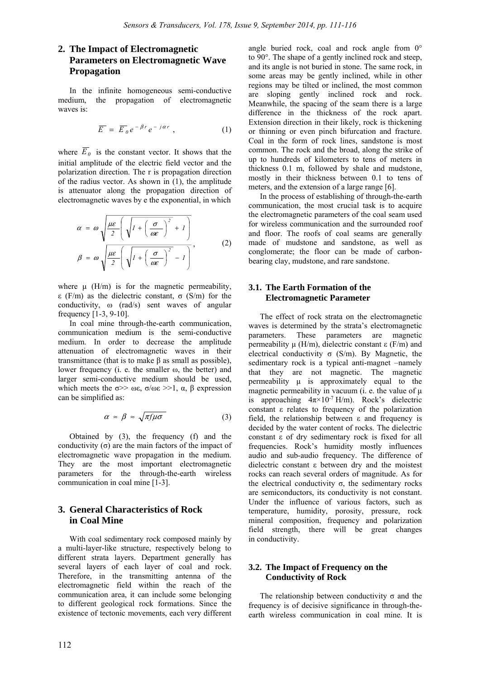# **2. The Impact of Electromagnetic Parameters on Electromagnetic Wave Propagation**

In the infinite homogeneous semi-conductive medium, the propagation of electromagnetic waves is:

$$
\overline{E} = \overline{E}_0 e^{-\beta r} e^{-j\alpha r} , \qquad (1)
$$

where  $\overline{E}_0$  is the constant vector. It shows that the initial amplitude of the electric field vector and the polarization direction. The r is propagation direction of the radius vector. As shown in (1), the amplitude is attenuator along the propagation direction of electromagnetic waves by e the exponential, in which

$$
\alpha = \omega \sqrt{\frac{\mu \varepsilon}{2} \left( \sqrt{1 + \left( \frac{\sigma}{\omega \varepsilon} \right)^2 + 1} \right)}
$$
\n
$$
\beta = \omega \sqrt{\frac{\mu \varepsilon}{2} \left( \sqrt{1 + \left( \frac{\sigma}{\omega \varepsilon} \right)^2 - 1} \right)},
$$
\n(2)

where  $\mu$  (H/m) is for the magnetic permeability, ε (F/m) as the dielectric constant, σ (S/m) for the conductivity, ω (rad/s) sent waves of angular frequency [1-3, 9-10].

In coal mine through-the-earth communication, communication medium is the semi-conductive medium. In order to decrease the amplitude attenuation of electromagnetic waves in their transmittance (that is to make β as small as possible), lower frequency (i. e. the smaller ω, the better) and larger semi-conductive medium should be used, which meets the  $\sigma$ >> ωε,  $\sigma/\omega \varepsilon$  >>1,  $\alpha$ ,  $\beta$  expression can be simplified as:

$$
\alpha \approx \beta \approx \sqrt{\pi f \mu \sigma} \tag{3}
$$

Obtained by (3), the frequency (f) and the conductivity  $(\sigma)$  are the main factors of the impact of electromagnetic wave propagation in the medium. They are the most important electromagnetic parameters for the through-the-earth wireless communication in coal mine [1-3].

# **3. General Characteristics of Rock in Coal Mine**

With coal sedimentary rock composed mainly by a multi-layer-like structure, respectively belong to different strata layers. Department generally has several layers of each layer of coal and rock. Therefore, in the transmitting antenna of the electromagnetic field within the reach of the communication area, it can include some belonging to different geological rock formations. Since the existence of tectonic movements, each very different angle buried rock, coal and rock angle from 0° to 90°. The shape of a gently inclined rock and steep, and its angle is not buried in stone. The same rock, in some areas may be gently inclined, while in other regions may be tilted or inclined, the most common are sloping gently inclined rock and rock. Meanwhile, the spacing of the seam there is a large difference in the thickness of the rock apart. Extension direction in their likely, rock is thickening or thinning or even pinch bifurcation and fracture. Coal in the form of rock lines, sandstone is most common. The rock and the broad, along the strike of up to hundreds of kilometers to tens of meters in thickness 0.1 m, followed by shale and mudstone, mostly in their thickness between 0.1 to tens of meters, and the extension of a large range [6].

In the process of establishing of through-the-earth communication, the most crucial task is to acquire the electromagnetic parameters of the coal seam used for wireless communication and the surrounded roof and floor. The roofs of coal seams are generally made of mudstone and sandstone, as well as conglomerate; the floor can be made of carbonbearing clay, mudstone, and rare sandstone.

# **3.1. The Earth Formation of the Electromagnetic Parameter**

The effect of rock strata on the electromagnetic waves is determined by the strata's electromagnetic parameters. These parameters are magnetic permeability μ (H/m), dielectric constant ε (F/m) and electrical conductivity  $\sigma$  (S/m). By Magnetic, the sedimentary rock is a typical anti-magnet –namely that they are not magnetic. The magnetic permeability μ is approximately equal to the magnetic permeability in vacuum (i. e. the value of  $\mu$ ) is approaching  $4\pi \times 10^{-7}$  H/m). Rock's dielectric constant ε relates to frequency of the polarization field, the relationship between ε and frequency is decided by the water content of rocks. The dielectric constant ε of dry sedimentary rock is fixed for all frequencies. Rock's humidity mostly influences audio and sub-audio frequency. The difference of dielectric constant ε between dry and the moistest rocks can reach several orders of magnitude. As for the electrical conductivity  $\sigma$ , the sedimentary rocks are semiconductors, its conductivity is not constant. Under the influence of various factors, such as temperature, humidity, porosity, pressure, rock mineral composition, frequency and polarization field strength, there will be great changes in conductivity.

#### **3.2. The Impact of Frequency on the Conductivity of Rock**

The relationship between conductivity  $\sigma$  and the frequency is of decisive significance in through-theearth wireless communication in coal mine. It is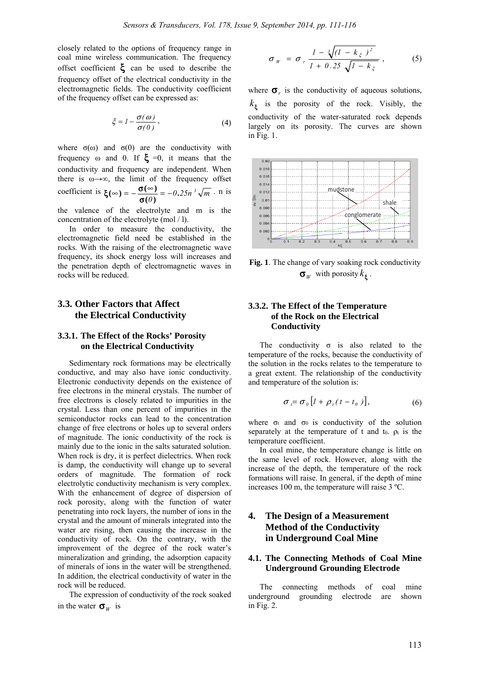closely related to the options of frequency range in coal mine wireless communication. The frequency offset coefficient  $\xi$  can be used to describe the frequency offset of the electrical conductivity in the electromagnetic fields. The conductivity coefficient of the frequency offset can be expressed as:

$$
\xi = I - \frac{\sigma(\omega)}{\sigma(0)},\tag{4}
$$

where  $\sigma(\omega)$  and  $\sigma(0)$  are the conductivity with frequency  $\omega$  and 0. If  $\xi = 0$ , it means that the conductivity and frequency are independent. When there is  $\omega \rightarrow \infty$ , the limit of the frequency offset coefficient is  $\xi(\infty) = -\frac{\sigma(\infty)}{\sigma(\theta)} = -0.25n^3 \sqrt{m}$ . n is

the valence of the electrolyte and m is the concentration of the electrolyte (mol / l).

In order to measure the conductivity, the electromagnetic field need be established in the rocks. With the raising of the electromagnetic wave frequency, its shock energy loss will increases and the penetration depth of electromagnetic waves in rocks will be reduced.

# **3.3. Other Factors that Affect the Electrical Conductivity**

#### **3.3.1. The Effect of the Rocks' Porosity on the Electrical Conductivity**

Sedimentary rock formations may be electrically conductive, and may also have ionic conductivity. Electronic conductivity depends on the existence of free electrons in the mineral crystals. The number of free electrons is closely related to impurities in the crystal. Less than one percent of impurities in the semiconductor rocks can lead to the concentration change of free electrons or holes up to several orders of magnitude. The ionic conductivity of the rock is mainly due to the ionic in the salts saturated solution. When rock is dry, it is perfect dielectrics. When rock is damp, the conductivity will change up to several orders of magnitude. The formation of rock electrolytic conductivity mechanism is very complex. With the enhancement of degree of dispersion of rock porosity, along with the function of water penetrating into rock layers, the number of ions in the crystal and the amount of minerals integrated into the water are rising, then causing the increase in the conductivity of rock. On the contrary, with the improvement of the degree of the rock water's mineralization and grinding, the adsorption capacity of minerals of ions in the water will be strengthened. In addition, the electrical conductivity of water in the rock will be reduced.

The expression of conductivity of the rock soaked in the water  $\sigma_w$  is

$$
\sigma_{W} = \sigma_{r} \frac{1 - \sqrt[3]{(1 - k_{\xi})^{2}}}{1 + 0.25 \sqrt{1 - k_{\xi}}}, \qquad (5)
$$

where  $\sigma_r$  is the conductivity of aqueous solutions,  $k_{\xi}$  is the porosity of the rock. Visibly, the conductivity of the water-saturated rock depends largely on its porosity. The curves are shown in Fig. 1.



**Fig. 1**. The change of vary soaking rock conductivity  $\sigma_W$  with porosity  $k_\xi$ .

# **3.3.2. The Effect of the Temperature of the Rock on the Electrical Conductivity**

The conductivity  $\sigma$  is also related to the temperature of the rocks, because the conductivity of the solution in the rocks relates to the temperature to a great extent. The relationship of the conductivity and temperature of the solution is:

$$
\sigma_t = \sigma_0 \left[ I + \rho_t (t - t_0) \right], \tag{6}
$$

where  $\sigma_t$  and  $\sigma_0$  is conductivity of the solution separately at the temperature of t and to.  $\rho_t$  is the temperature coefficient.

In coal mine, the temperature change is little on the same level of rock. However, along with the increase of the depth, the temperature of the rock formations will raise. In general, if the depth of mine increases 100 m, the temperature will raise 3 ºC.

# **4. The Design of a Measurement Method of the Conductivity in Underground Coal Mine**

#### **4.1. The Connecting Methods of Coal Mine Underground Grounding Electrode**

The connecting methods of coal mine underground grounding electrode are shown in Fig. 2.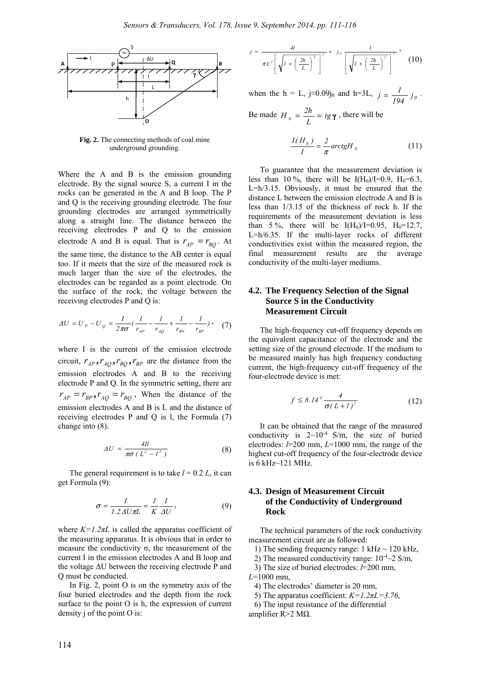

**Fig. 2.** The connecting methods of coal mine underground grounding.

Where the A and B is the emission grounding electrode. By the signal source S, a current I in the rocks can be generated in the A and B loop. The P and Q is the receiving grounding electrode. The four grounding electrodes are arranged symmetrically along a straight line. The distance between the receiving electrodes P and Q to the emission electrode A and B is equal. That is  $r_{AP} = r_{BO}$ . At the same time, the distance to the AB center is equal too. If it meets that the size of the measured rock is much larger than the size of the electrodes, the electrodes can be regarded as a point electrode. On the surface of the rock, the voltage between the receiving electrodes P and Q is:

$$
\Delta U = U_P - U_Q = \frac{I}{2\pi\sigma} \left( \frac{I}{r_{AP}} - \frac{I}{r_{AQ}} + \frac{I}{r_{BN}} - \frac{I}{r_{BP}} \right), \quad (7)
$$

where I is the current of the emission electrode circuit,  $r_{AP}$ ,  $r_{AO}$ ,  $r_{BO}$ ,  $r_{BP}$  are the distance from the emission electrodes A and B to the receiving electrode P and Q. In the symmetric setting, there are  $r_{AP} = r_{BP}$ ,  $r_{AQ} = r_{BQ}$ . When the distance of the emission electrodes A and B is L and the distance of receiving electrodes P and Q is l, the Formula (7) change into (8).

$$
\Delta U = \frac{4ll}{\pi \sigma \left( L^2 - l^2 \right)}\tag{8}
$$

The general requirement is to take  $l = 0.2 L$ , it can get Formula (9):

$$
\sigma = \frac{I}{I.2 \Delta U \pi L} = \frac{I}{K} \frac{I}{\Delta U},\tag{9}
$$

where  $K=1.2\pi L$  is called the apparatus coefficient of the measuring apparatus. It is obvious that in order to measure the conductivity  $\sigma$ , the measurement of the current I in the emission electrodes A and B loop and the voltage ΔU between the receiving electrode P and Q must be conducted.

In Fig. 2, point O is on the symmetry axis of the four buried electrodes and the depth from the rock surface to the point O is h, the expression of current density j of the point O is:

$$
j = \frac{4I}{\pi L^2 \left[ \sqrt{I + \left( \frac{2h}{L} \right)^2} \right]^3} = j_0 \frac{I}{\left[ \sqrt{I + \left( \frac{2h}{L} \right)^2} \right]^3}, \quad (10)
$$

when the h = L,  $j \approx 0.09j_0$  and h=3L,  $j = \frac{1}{194} j_0$ . Be made  $H_{\theta} = \frac{2h}{L} = t g \gamma$ , there will be

$$
\frac{I(H_{\theta})}{I} = \frac{2}{\pi} \operatorname{arctgH}_{\theta} \tag{11}
$$

To guarantee that the measurement deviation is less than 10 %, there will be  $I(H_0)/I=0.9$ ,  $H_0=6.3$ , L=h/3.15. Obviously, it must be ensured that the distance L between the emission electrode A and B is less than 1/3.15 of the thickness of rock h. If the requirements of the measurement deviation is less than 5%, there will be  $I(H_0)/I=0.95$ ,  $H_0=12.7$ , L=h/6.35. If the multi-layer rocks of different conductivities exist within the measured region, the final measurement results are the average conductivity of the multi-layer mediums.

#### **4.2. The Frequency Selection of the Signal Source S in the Conductivity Measurement Circuit**

The high-frequency cut-off frequency depends on the equivalent capacitance of the electrode and the setting size of the ground electrode. If the medium to be measured mainly has high frequency conducting current, the high-frequency cut-off frequency of the four-electrode device is met:

$$
f \le 8.14^4 \frac{4}{\sigma (L+l)^2} \tag{12}
$$

It can be obtained that the range of the measured conductivity is  $2{\sim}10^{-4}$  S/m, the size of buried electrodes: *l*=200 mm, *L*=1000 mm, the range of the highest cut-off frequency of the four-electrode device is 6 kHz~121 MHz.

#### **4.3. Design of Measurement Circuit of the Conductivity of Underground Rock**

The technical parameters of the rock conductivity measurement circuit are as followed:

1) The sending frequency range: 1 kHz  $\sim$  120 kHz,

2) The measured conductivity range:  $10^{-4}$  ~  $2$  S/m,

3) The size of buried electrodes: *l*=200 mm,

*L*=1000 mm,

4) The electrodes' diameter is 20 mm,

5) The apparatus coefficient:  $K=1.2\pi L=3.76$ ,

6) The input resistance of the differential

amplifier R>2 MΩ.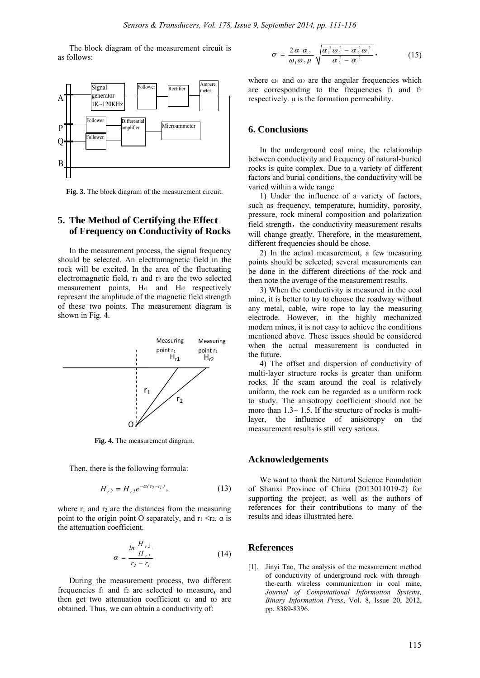The block diagram of the measurement circuit is as follows:



**Fig. 3.** The block diagram of the measurement circuit.

# **5. The Method of Certifying the Effect of Frequency on Conductivity of Rocks**

In the measurement process, the signal frequency should be selected. An electromagnetic field in the rock will be excited. In the area of the fluctuating electromagnetic field,  $r_1$  and  $r_2$  are the two selected measurement points, Hr1 and Hr2 respectively represent the amplitude of the magnetic field strength of these two points. The measurement diagram is shown in Fig. 4.



**Fig. 4.** The measurement diagram.

Then, there is the following formula:

$$
H_{r2} = H_{r1} e^{-\alpha (r_2 - r_1)}, \tag{13}
$$

where  $r_1$  and  $r_2$  are the distances from the measuring point to the origin point O separately, and  $r_1 \le r_2$ ,  $\alpha$  is the attenuation coefficient.

$$
\alpha = \frac{\ln \frac{H_{r2}}{H_{r1}}}{r_2 - r_1}
$$
(14)

During the measurement process, two different frequencies f1 and f2 are selected to measure**,** and then get two attenuation coefficient  $\alpha_1$  and  $\alpha_2$  are obtained. Thus, we can obtain a conductivity of:

$$
\sigma = \frac{2\alpha_1\alpha_2}{\omega_1\omega_2\mu} \sqrt{\frac{\alpha_1^2\omega_2^2 - \alpha_2^2\omega_1^2}{\alpha_2^2 - \alpha_1^2}},
$$
(15)

where  $\omega_1$  and  $\omega_2$  are the angular frequencies which are corresponding to the frequencies  $f_1$  and  $f_2$ respectively. μ is the formation permeability.

#### **6. Conclusions**

In the underground coal mine, the relationship between conductivity and frequency of natural-buried rocks is quite complex. Due to a variety of different factors and burial conditions, the conductivity will be varied within a wide range

1) Under the influence of a variety of factors, such as frequency, temperature, humidity, porosity, pressure, rock mineral composition and polarization field strength, the conductivity measurement results will change greatly. Therefore, in the measurement, different frequencies should be chose.

2) In the actual measurement, a few measuring points should be selected; several measurements can be done in the different directions of the rock and then note the average of the measurement results.

3) When the conductivity is measured in the coal mine, it is better to try to choose the roadway without any metal, cable, wire rope to lay the measuring electrode. However, in the highly mechanized modern mines, it is not easy to achieve the conditions mentioned above. These issues should be considered when the actual measurement is conducted in the future.

4) The offset and dispersion of conductivity of multi-layer structure rocks is greater than uniform rocks. If the seam around the coal is relatively uniform, the rock can be regarded as a uniform rock to study. The anisotropy coefficient should not be more than  $1.3 \sim 1.5$ . If the structure of rocks is multilayer, the influence of anisotropy on the measurement results is still very serious.

#### **Acknowledgements**

We want to thank the Natural Science Foundation of Shanxi Province of China (2013011019-2) for supporting the project, as well as the authors of references for their contributions to many of the results and ideas illustrated here.

#### **References**

[1]. Jinyi Tao, The analysis of the measurement method of conductivity of underground rock with throughthe-earth wireless communication in coal mine, *Journal of Computational Information Systems, Binary Information Press*, Vol. 8, Issue 20, 2012, pp. 8389-8396.